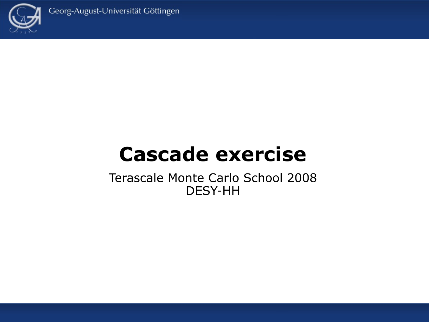



# **Cascade exercise**

Terascale Monte Carlo School 2008 DESY-HH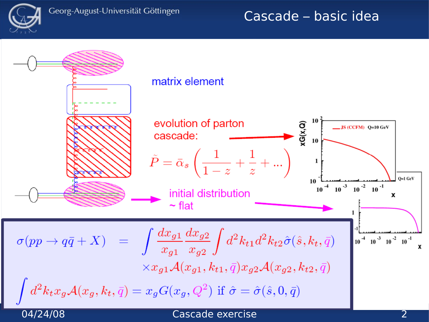

## Cascade – basic idea

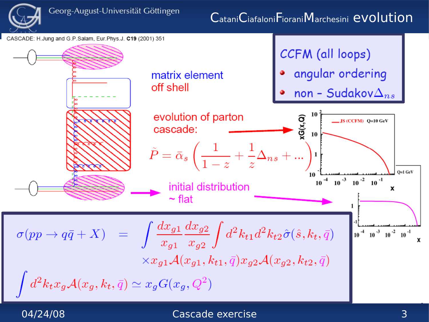

## CataniCiafaloniFioraniMarchesini evolution



### 04/24/08 Cascade exercise 3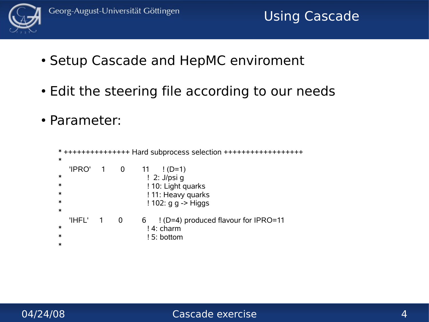

- Setup Cascade and HepMC enviroment
- Edit the steering file according to our needs
- Parameter:

```
* +++++++++++++++ Hard subprocess selection ++++++++++++++++++
*
 'IPRO' 1 0 11 !(D=1)* ! 2: J/psi g
* ! 10: Light quarks
* ! 11: Heavy quarks
* ! 102: g g -> Higgs
*
  'IHFL' 1 0 6 ! (D=4) produced flavour for IPRO=11
* !4: charm
* ! 5: bottom
*
```
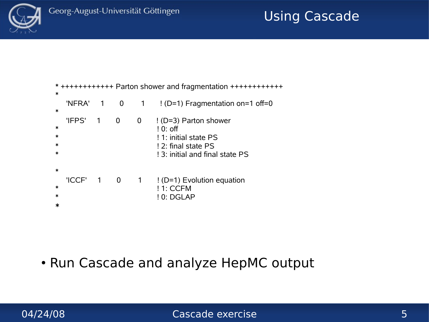

## Using Cascade

| $\ast$                     | * ++++++++++++ Parton shower and fragmentation +++++++++++++ |                |                         |                |                                                                                                                                  |
|----------------------------|--------------------------------------------------------------|----------------|-------------------------|----------------|----------------------------------------------------------------------------------------------------------------------------------|
| $\ast$                     | 'NFRA'                                                       | $\sim$ 1       | 0                       | $\overline{1}$ | $!$ (D=1) Fragmentation on=1 off=0                                                                                               |
| $\ast$<br>$\ast$<br>$\ast$ | 'IFPS'                                                       | $\overline{1}$ | 0                       | 0              | ! (D=3) Parton shower<br>$\frac{1}{2}$ 0: off<br>! 1: initial state PS<br>! 2: final state PS<br>! 3: initial and final state PS |
| $\ast$<br>$\ast$<br>$\ast$ | 'ICCF'                                                       | $\sim$ 1       | $\overline{\mathbf{0}}$ | $\mathbf 1$    | $!$ (D=1) Evolution equation<br>! 1: CCFM<br>$!0:$ DGLAP                                                                         |

• Run Cascade and analyze HepMC output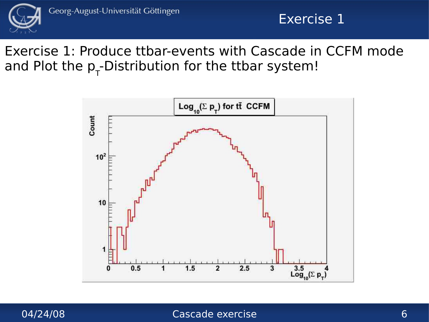

## Exercise 1

Exercise 1: Produce ttbar-events with Cascade in CCFM mode and Plot the  $p_{\tau}$ -Distribution for the ttbar system!